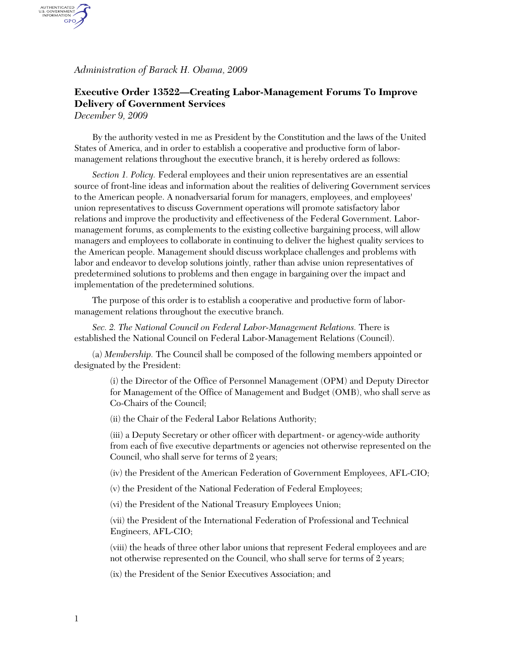*Administration of Barack H. Obama, 2009* 

## **Executive Order 13522—Creating Labor-Management Forums To Improve Delivery of Government Services**

*December 9, 2009* 

AUTHENTICATED<br>U.S. GOVERNMENT<br>INFORMATION GPO

> By the authority vested in me as President by the Constitution and the laws of the United States of America, and in order to establish a cooperative and productive form of labormanagement relations throughout the executive branch, it is hereby ordered as follows:

*Section 1. Policy.* Federal employees and their union representatives are an essential source of front-line ideas and information about the realities of delivering Government services to the American people. A nonadversarial forum for managers, employees, and employees' union representatives to discuss Government operations will promote satisfactory labor relations and improve the productivity and effectiveness of the Federal Government. Labormanagement forums, as complements to the existing collective bargaining process, will allow managers and employees to collaborate in continuing to deliver the highest quality services to the American people. Management should discuss workplace challenges and problems with labor and endeavor to develop solutions jointly, rather than advise union representatives of predetermined solutions to problems and then engage in bargaining over the impact and implementation of the predetermined solutions.

The purpose of this order is to establish a cooperative and productive form of labormanagement relations throughout the executive branch.

*Sec. 2. The National Council on Federal Labor-Management Relations.* There is established the National Council on Federal Labor-Management Relations (Council).

(a) *Membership.* The Council shall be composed of the following members appointed or designated by the President:

> (i) the Director of the Office of Personnel Management (OPM) and Deputy Director for Management of the Office of Management and Budget (OMB), who shall serve as Co-Chairs of the Council;

(ii) the Chair of the Federal Labor Relations Authority;

(iii) a Deputy Secretary or other officer with department- or agency-wide authority from each of five executive departments or agencies not otherwise represented on the Council, who shall serve for terms of 2 years;

(iv) the President of the American Federation of Government Employees, AFL-CIO;

(v) the President of the National Federation of Federal Employees;

(vi) the President of the National Treasury Employees Union;

(vii) the President of the International Federation of Professional and Technical Engineers, AFL-CIO;

(viii) the heads of three other labor unions that represent Federal employees and are not otherwise represented on the Council, who shall serve for terms of 2 years;

(ix) the President of the Senior Executives Association; and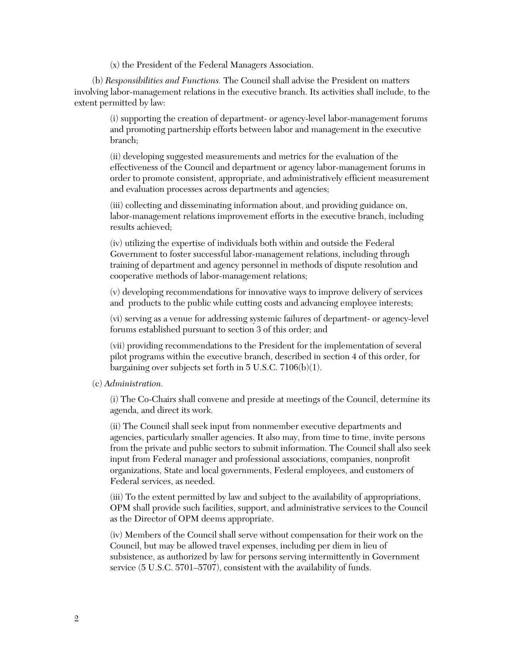(x) the President of the Federal Managers Association.

(b) *Responsibilities and Functions.* The Council shall advise the President on matters involving labor-management relations in the executive branch. Its activities shall include, to the extent permitted by law:

> (i) supporting the creation of department- or agency-level labor-management forums and promoting partnership efforts between labor and management in the executive branch;

> (ii) developing suggested measurements and metrics for the evaluation of the effectiveness of the Council and department or agency labor-management forums in order to promote consistent, appropriate, and administratively efficient measurement and evaluation processes across departments and agencies;

(iii) collecting and disseminating information about, and providing guidance on, labor-management relations improvement efforts in the executive branch, including results achieved;

(iv) utilizing the expertise of individuals both within and outside the Federal Government to foster successful labor-management relations, including through training of department and agency personnel in methods of dispute resolution and cooperative methods of labor-management relations;

(v) developing recommendations for innovative ways to improve delivery of services and products to the public while cutting costs and advancing employee interests;

(vi) serving as a venue for addressing systemic failures of department- or agency-level forums established pursuant to section 3 of this order; and

(vii) providing recommendations to the President for the implementation of several pilot programs within the executive branch, described in section 4 of this order, for bargaining over subjects set forth in 5 U.S.C. 7106(b)(1).

(c) *Administration.*

(i) The Co-Chairs shall convene and preside at meetings of the Council, determine its agenda, and direct its work.

(ii) The Council shall seek input from nonmember executive departments and agencies, particularly smaller agencies. It also may, from time to time, invite persons from the private and public sectors to submit information. The Council shall also seek input from Federal manager and professional associations, companies, nonprofit organizations, State and local governments, Federal employees, and customers of Federal services, as needed.

(iii) To the extent permitted by law and subject to the availability of appropriations, OPM shall provide such facilities, support, and administrative services to the Council as the Director of OPM deems appropriate.

(iv) Members of the Council shall serve without compensation for their work on the Council, but may be allowed travel expenses, including per diem in lieu of subsistence, as authorized by law for persons serving intermittently in Government service (5 U.S.C. 5701–5707), consistent with the availability of funds.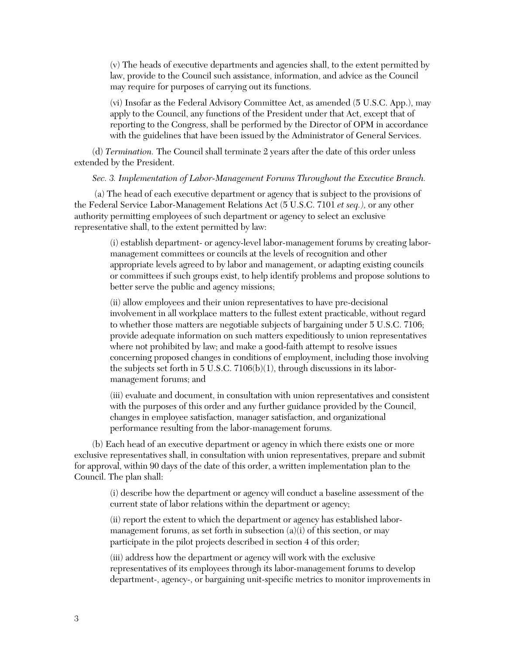(v) The heads of executive departments and agencies shall, to the extent permitted by law, provide to the Council such assistance, information, and advice as the Council may require for purposes of carrying out its functions.

(vi) Insofar as the Federal Advisory Committee Act, as amended (5 U.S.C. App.), may apply to the Council, any functions of the President under that Act, except that of reporting to the Congress, shall be performed by the Director of OPM in accordance with the guidelines that have been issued by the Administrator of General Services.

(d) *Termination.* The Council shall terminate 2 years after the date of this order unless extended by the President.

*Sec. 3. Implementation of Labor-Management Forums Throughout the Executive Branch.* 

 (a) The head of each executive department or agency that is subject to the provisions of the Federal Service Labor-Management Relations Act (5 U.S.C. 7101 *et seq.),* or any other authority permitting employees of such department or agency to select an exclusive representative shall, to the extent permitted by law:

> (i) establish department- or agency-level labor-management forums by creating labormanagement committees or councils at the levels of recognition and other appropriate levels agreed to by labor and management, or adapting existing councils or committees if such groups exist, to help identify problems and propose solutions to better serve the public and agency missions;

> (ii) allow employees and their union representatives to have pre-decisional involvement in all workplace matters to the fullest extent practicable, without regard to whether those matters are negotiable subjects of bargaining under 5 U.S.C. 7106; provide adequate information on such matters expeditiously to union representatives where not prohibited by law; and make a good-faith attempt to resolve issues concerning proposed changes in conditions of employment, including those involving the subjects set forth in 5 U.S.C. 7106(b)(1), through discussions in its labormanagement forums; and

> (iii) evaluate and document, in consultation with union representatives and consistent with the purposes of this order and any further guidance provided by the Council, changes in employee satisfaction, manager satisfaction, and organizational performance resulting from the labor-management forums.

(b) Each head of an executive department or agency in which there exists one or more exclusive representatives shall, in consultation with union representatives, prepare and submit for approval, within 90 days of the date of this order, a written implementation plan to the Council. The plan shall:

> (i) describe how the department or agency will conduct a baseline assessment of the current state of labor relations within the department or agency;

(ii) report the extent to which the department or agency has established labormanagement forums, as set forth in subsection  $(a)(i)$  of this section, or may participate in the pilot projects described in section 4 of this order;

(iii) address how the department or agency will work with the exclusive representatives of its employees through its labor-management forums to develop department-, agency-, or bargaining unit-specific metrics to monitor improvements in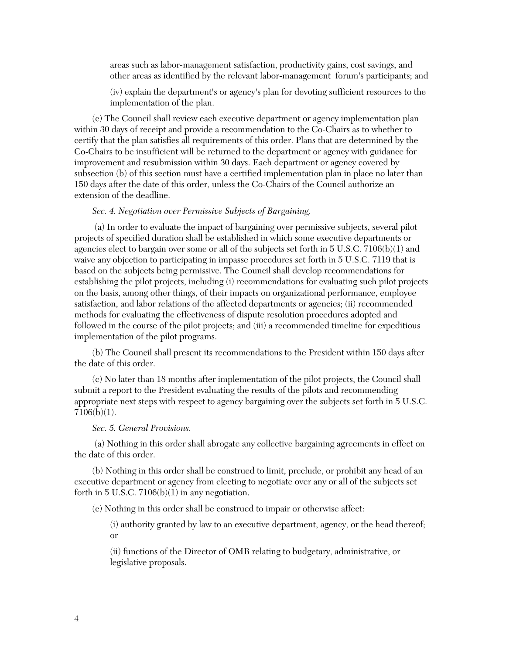areas such as labor-management satisfaction, productivity gains, cost savings, and other areas as identified by the relevant labor-management forum's participants; and

(iv) explain the department's or agency's plan for devoting sufficient resources to the implementation of the plan.

(c) The Council shall review each executive department or agency implementation plan within 30 days of receipt and provide a recommendation to the Co-Chairs as to whether to certify that the plan satisfies all requirements of this order. Plans that are determined by the Co-Chairs to be insufficient will be returned to the department or agency with guidance for improvement and resubmission within 30 days. Each department or agency covered by subsection (b) of this section must have a certified implementation plan in place no later than 150 days after the date of this order, unless the Co-Chairs of the Council authorize an extension of the deadline.

## *Sec. 4. Negotiation over Permissive Subjects of Bargaining.*

 (a) In order to evaluate the impact of bargaining over permissive subjects, several pilot projects of specified duration shall be established in which some executive departments or agencies elect to bargain over some or all of the subjects set forth in  $5 \text{ U.S.C. } 7106(b)(1)$  and waive any objection to participating in impasse procedures set forth in 5 U.S.C. 7119 that is based on the subjects being permissive. The Council shall develop recommendations for establishing the pilot projects, including (i) recommendations for evaluating such pilot projects on the basis, among other things, of their impacts on organizational performance, employee satisfaction, and labor relations of the affected departments or agencies; (ii) recommended methods for evaluating the effectiveness of dispute resolution procedures adopted and followed in the course of the pilot projects; and (iii) a recommended timeline for expeditious implementation of the pilot programs.

(b) The Council shall present its recommendations to the President within 150 days after the date of this order.

(c) No later than 18 months after implementation of the pilot projects, the Council shall submit a report to the President evaluating the results of the pilots and recommending appropriate next steps with respect to agency bargaining over the subjects set forth in 5 U.S.C. 7106(b)(1).

## *Sec. 5. General Provisions.*

 (a) Nothing in this order shall abrogate any collective bargaining agreements in effect on the date of this order.

(b) Nothing in this order shall be construed to limit, preclude, or prohibit any head of an executive department or agency from electing to negotiate over any or all of the subjects set forth in 5 U.S.C.  $7106(b)(1)$  in any negotiation.

(c) Nothing in this order shall be construed to impair or otherwise affect:

(i) authority granted by law to an executive department, agency, or the head thereof; or

(ii) functions of the Director of OMB relating to budgetary, administrative, or legislative proposals.